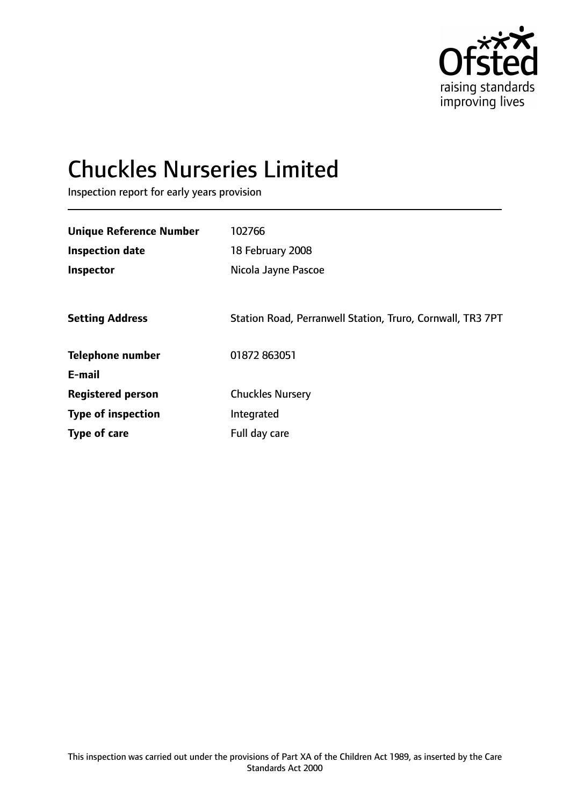

# Chuckles Nurseries Limited

Inspection report for early years provision

| <b>Unique Reference Number</b> | 102766                                                     |
|--------------------------------|------------------------------------------------------------|
| <b>Inspection date</b>         | 18 February 2008                                           |
| Inspector                      | Nicola Jayne Pascoe                                        |
|                                |                                                            |
| <b>Setting Address</b>         | Station Road, Perranwell Station, Truro, Cornwall, TR3 7PT |
| <b>Telephone number</b>        | 01872 863051                                               |
| E-mail                         |                                                            |
| <b>Registered person</b>       | <b>Chuckles Nursery</b>                                    |
| <b>Type of inspection</b>      | Integrated                                                 |
| <b>Type of care</b>            | Full day care                                              |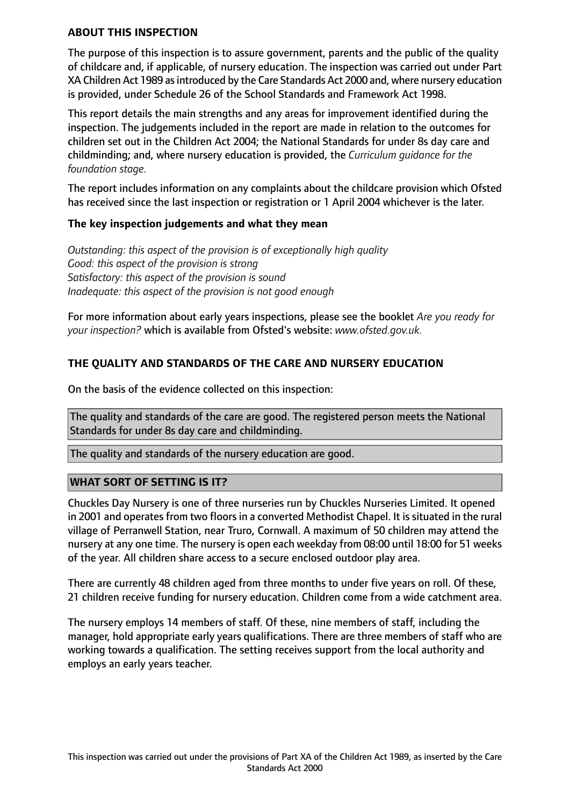### **ABOUT THIS INSPECTION**

The purpose of this inspection is to assure government, parents and the public of the quality of childcare and, if applicable, of nursery education. The inspection was carried out under Part XA Children Act 1989 as introduced by the Care Standards Act 2000 and, where nursery education is provided, under Schedule 26 of the School Standards and Framework Act 1998.

This report details the main strengths and any areas for improvement identified during the inspection. The judgements included in the report are made in relation to the outcomes for children set out in the Children Act 2004; the National Standards for under 8s day care and childminding; and, where nursery education is provided, the *Curriculum guidance for the foundation stage.*

The report includes information on any complaints about the childcare provision which Ofsted has received since the last inspection or registration or 1 April 2004 whichever is the later.

#### **The key inspection judgements and what they mean**

*Outstanding: this aspect of the provision is of exceptionally high quality Good: this aspect of the provision is strong Satisfactory: this aspect of the provision is sound Inadequate: this aspect of the provision is not good enough*

For more information about early years inspections, please see the booklet *Are you ready for your inspection?* which is available from Ofsted's website: *www.ofsted.gov.uk.*

# **THE QUALITY AND STANDARDS OF THE CARE AND NURSERY EDUCATION**

On the basis of the evidence collected on this inspection:

The quality and standards of the care are good. The registered person meets the National Standards for under 8s day care and childminding.

The quality and standards of the nursery education are good.

## **WHAT SORT OF SETTING IS IT?**

Chuckles Day Nursery is one of three nurseries run by Chuckles Nurseries Limited. It opened in 2001 and operates from two floors in a converted Methodist Chapel. It is situated in the rural village of Perranwell Station, near Truro, Cornwall. A maximum of 50 children may attend the nursery at any one time. The nursery is open each weekday from 08:00 until 18:00 for 51 weeks of the year. All children share access to a secure enclosed outdoor play area.

There are currently 48 children aged from three months to under five years on roll. Of these, 21 children receive funding for nursery education. Children come from a wide catchment area.

The nursery employs 14 members of staff. Of these, nine members of staff, including the manager, hold appropriate early years qualifications. There are three members of staff who are working towards a qualification. The setting receives support from the local authority and employs an early years teacher.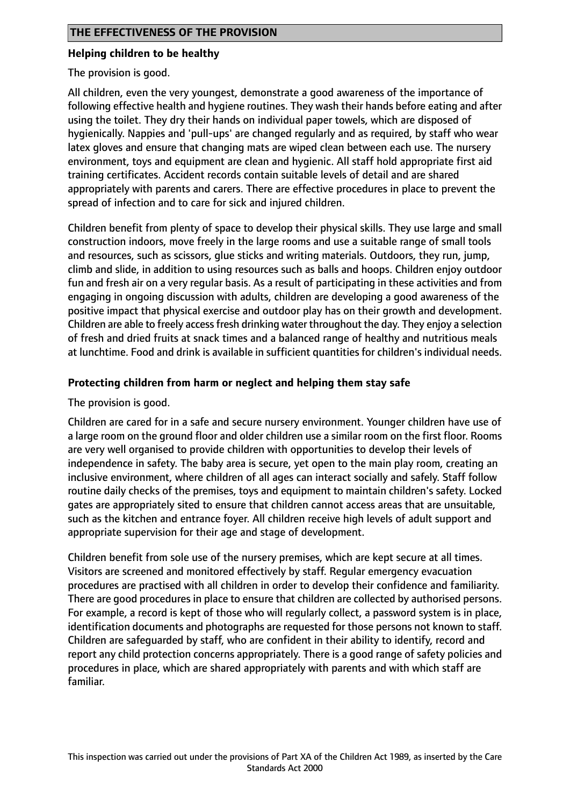## **Helping children to be healthy**

The provision is good.

All children, even the very youngest, demonstrate a good awareness of the importance of following effective health and hygiene routines. They wash their hands before eating and after using the toilet. They dry their hands on individual paper towels, which are disposed of hygienically. Nappies and 'pull-ups' are changed regularly and as required, by staff who wear latex gloves and ensure that changing mats are wiped clean between each use. The nursery environment, toys and equipment are clean and hygienic. All staff hold appropriate first aid training certificates. Accident records contain suitable levels of detail and are shared appropriately with parents and carers. There are effective procedures in place to prevent the spread of infection and to care for sick and injured children.

Children benefit from plenty of space to develop their physical skills. They use large and small construction indoors, move freely in the large rooms and use a suitable range of small tools and resources, such as scissors, glue sticks and writing materials. Outdoors, they run, jump, climb and slide, in addition to using resources such as balls and hoops. Children enjoy outdoor fun and fresh air on a very regular basis. As a result of participating in these activities and from engaging in ongoing discussion with adults, children are developing a good awareness of the positive impact that physical exercise and outdoor play has on their growth and development. Children are able to freely accessfresh drinking water throughout the day. They enjoy a selection of fresh and dried fruits at snack times and a balanced range of healthy and nutritious meals at lunchtime. Food and drink is available in sufficient quantities for children's individual needs.

# **Protecting children from harm or neglect and helping them stay safe**

The provision is good.

Children are cared for in a safe and secure nursery environment. Younger children have use of a large room on the ground floor and older children use a similar room on the first floor. Rooms are very well organised to provide children with opportunities to develop their levels of independence in safety. The baby area is secure, yet open to the main play room, creating an inclusive environment, where children of all ages can interact socially and safely. Staff follow routine daily checks of the premises, toys and equipment to maintain children's safety. Locked gates are appropriately sited to ensure that children cannot access areas that are unsuitable, such as the kitchen and entrance foyer. All children receive high levels of adult support and appropriate supervision for their age and stage of development.

Children benefit from sole use of the nursery premises, which are kept secure at all times. Visitors are screened and monitored effectively by staff. Regular emergency evacuation procedures are practised with all children in order to develop their confidence and familiarity. There are good procedures in place to ensure that children are collected by authorised persons. For example, a record is kept of those who will regularly collect, a password system is in place, identification documents and photographs are requested for those persons not known to staff. Children are safeguarded by staff, who are confident in their ability to identify, record and report any child protection concerns appropriately. There is a good range of safety policies and procedures in place, which are shared appropriately with parents and with which staff are familiar.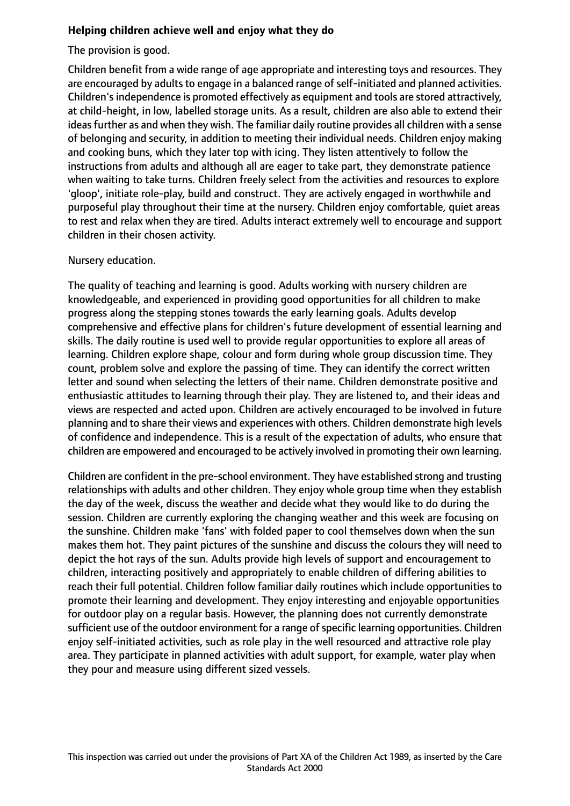## **Helping children achieve well and enjoy what they do**

The provision is good.

Children benefit from a wide range of age appropriate and interesting toys and resources. They are encouraged by adults to engage in a balanced range of self-initiated and planned activities. Children'sindependence is promoted effectively as equipment and tools are stored attractively, at child-height, in low, labelled storage units. As a result, children are also able to extend their ideas further as and when they wish. The familiar daily routine provides all children with a sense of belonging and security, in addition to meeting their individual needs. Children enjoy making and cooking buns, which they later top with icing. They listen attentively to follow the instructions from adults and although all are eager to take part, they demonstrate patience when waiting to take turns. Children freely select from the activities and resources to explore 'gloop', initiate role-play, build and construct. They are actively engaged in worthwhile and purposeful play throughout their time at the nursery. Children enjoy comfortable, quiet areas to rest and relax when they are tired. Adults interact extremely well to encourage and support children in their chosen activity.

## Nursery education.

The quality of teaching and learning is good. Adults working with nursery children are knowledgeable, and experienced in providing good opportunities for all children to make progress along the stepping stones towards the early learning goals. Adults develop comprehensive and effective plans for children's future development of essential learning and skills. The daily routine is used well to provide regular opportunities to explore all areas of learning. Children explore shape, colour and form during whole group discussion time. They count, problem solve and explore the passing of time. They can identify the correct written letter and sound when selecting the letters of their name. Children demonstrate positive and enthusiastic attitudes to learning through their play. They are listened to, and their ideas and views are respected and acted upon. Children are actively encouraged to be involved in future planning and to share their views and experiences with others. Children demonstrate high levels of confidence and independence. This is a result of the expectation of adults, who ensure that children are empowered and encouraged to be actively involved in promoting their own learning.

Children are confident in the pre-school environment. They have established strong and trusting relationships with adults and other children. They enjoy whole group time when they establish the day of the week, discuss the weather and decide what they would like to do during the session. Children are currently exploring the changing weather and this week are focusing on the sunshine. Children make 'fans' with folded paper to cool themselves down when the sun makes them hot. They paint pictures of the sunshine and discuss the colours they will need to depict the hot rays of the sun. Adults provide high levels of support and encouragement to children, interacting positively and appropriately to enable children of differing abilities to reach their full potential. Children follow familiar daily routines which include opportunities to promote their learning and development. They enjoy interesting and enjoyable opportunities for outdoor play on a regular basis. However, the planning does not currently demonstrate sufficient use of the outdoor environment for a range of specific learning opportunities. Children enjoy self-initiated activities, such as role play in the well resourced and attractive role play area. They participate in planned activities with adult support, for example, water play when they pour and measure using different sized vessels.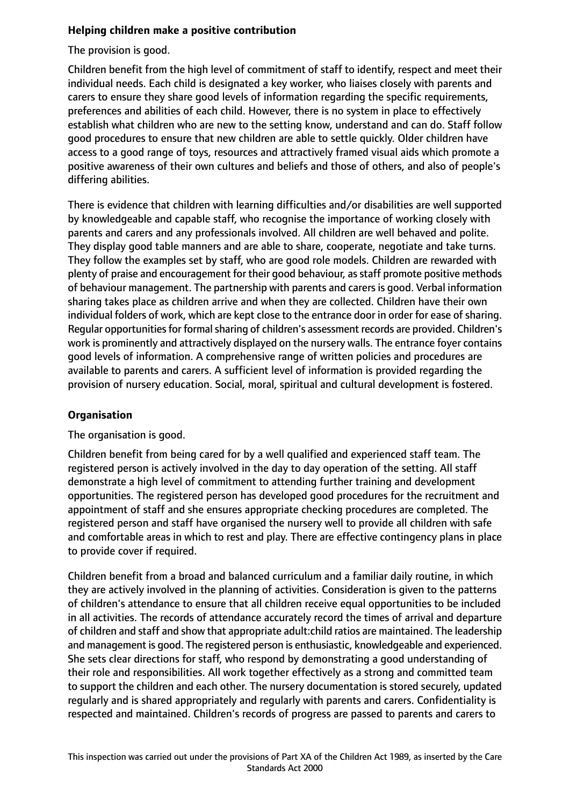# **Helping children make a positive contribution**

The provision is good.

Children benefit from the high level of commitment of staff to identify, respect and meet their individual needs. Each child is designated a key worker, who liaises closely with parents and carers to ensure they share good levels of information regarding the specific requirements, preferences and abilities of each child. However, there is no system in place to effectively establish what children who are new to the setting know, understand and can do. Staff follow good procedures to ensure that new children are able to settle quickly. Older children have access to a good range of toys, resources and attractively framed visual aids which promote a positive awareness of their own cultures and beliefs and those of others, and also of people's differing abilities.

There is evidence that children with learning difficulties and/or disabilities are well supported by knowledgeable and capable staff, who recognise the importance of working closely with parents and carers and any professionals involved. All children are well behaved and polite. They display good table manners and are able to share, cooperate, negotiate and take turns. They follow the examples set by staff, who are good role models. Children are rewarded with plenty of praise and encouragement for their good behaviour, as staff promote positive methods of behaviour management. The partnership with parents and carers is good. Verbal information sharing takes place as children arrive and when they are collected. Children have their own individual folders of work, which are kept close to the entrance door in order for ease of sharing. Regular opportunities for formal sharing of children's assessment records are provided. Children's work is prominently and attractively displayed on the nursery walls. The entrance foyer contains good levels of information. A comprehensive range of written policies and procedures are available to parents and carers. A sufficient level of information is provided regarding the provision of nursery education. Social, moral, spiritual and cultural development is fostered.

# **Organisation**

The organisation is good.

Children benefit from being cared for by a well qualified and experienced staff team. The registered person is actively involved in the day to day operation of the setting. All staff demonstrate a high level of commitment to attending further training and development opportunities. The registered person has developed good procedures for the recruitment and appointment of staff and she ensures appropriate checking procedures are completed. The registered person and staff have organised the nursery well to provide all children with safe and comfortable areas in which to rest and play. There are effective contingency plans in place to provide cover if required.

Children benefit from a broad and balanced curriculum and a familiar daily routine, in which they are actively involved in the planning of activities. Consideration is given to the patterns of children's attendance to ensure that all children receive equal opportunities to be included in all activities. The records of attendance accurately record the times of arrival and departure of children and staff and show that appropriate adult:child ratios are maintained. The leadership and management is good. The registered person is enthusiastic, knowledgeable and experienced. She sets clear directions for staff, who respond by demonstrating a good understanding of their role and responsibilities. All work together effectively as a strong and committed team to support the children and each other. The nursery documentation is stored securely, updated regularly and is shared appropriately and regularly with parents and carers. Confidentiality is respected and maintained. Children's records of progress are passed to parents and carers to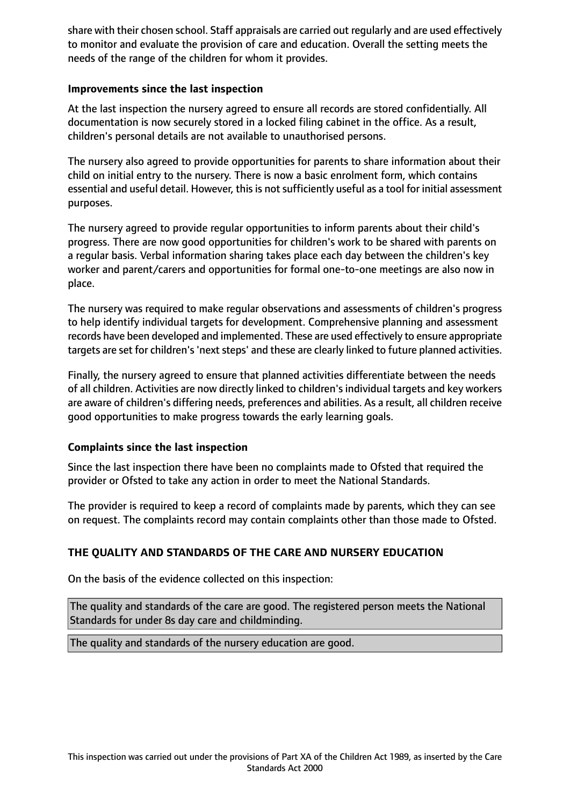share with their chosen school. Staff appraisals are carried out regularly and are used effectively to monitor and evaluate the provision of care and education. Overall the setting meets the needs of the range of the children for whom it provides.

## **Improvements since the last inspection**

At the last inspection the nursery agreed to ensure all records are stored confidentially. All documentation is now securely stored in a locked filing cabinet in the office. As a result, children's personal details are not available to unauthorised persons.

The nursery also agreed to provide opportunities for parents to share information about their child on initial entry to the nursery. There is now a basic enrolment form, which contains essential and useful detail. However, this is not sufficiently useful as a tool for initial assessment purposes.

The nursery agreed to provide regular opportunities to inform parents about their child's progress. There are now good opportunities for children's work to be shared with parents on a regular basis. Verbal information sharing takes place each day between the children's key worker and parent/carers and opportunities for formal one-to-one meetings are also now in place.

The nursery was required to make regular observations and assessments of children's progress to help identify individual targets for development. Comprehensive planning and assessment records have been developed and implemented. These are used effectively to ensure appropriate targets are set for children's 'next steps' and these are clearly linked to future planned activities.

Finally, the nursery agreed to ensure that planned activities differentiate between the needs of all children. Activities are now directly linked to children's individual targets and key workers are aware of children's differing needs, preferences and abilities. As a result, all children receive good opportunities to make progress towards the early learning goals.

## **Complaints since the last inspection**

Since the last inspection there have been no complaints made to Ofsted that required the provider or Ofsted to take any action in order to meet the National Standards.

The provider is required to keep a record of complaints made by parents, which they can see on request. The complaints record may contain complaints other than those made to Ofsted.

## **THE QUALITY AND STANDARDS OF THE CARE AND NURSERY EDUCATION**

On the basis of the evidence collected on this inspection:

The quality and standards of the care are good. The registered person meets the National Standards for under 8s day care and childminding.

The quality and standards of the nursery education are good.